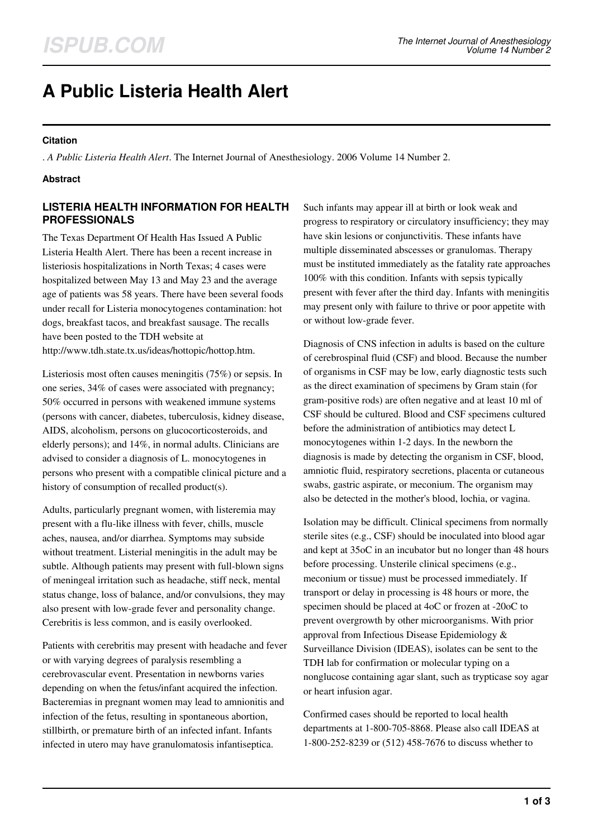# **A Public Listeria Health Alert**

#### **Citation**

. *A Public Listeria Health Alert*. The Internet Journal of Anesthesiology. 2006 Volume 14 Number 2.

#### **Abstract**

## **LISTERIA HEALTH INFORMATION FOR HEALTH PROFESSIONALS**

The Texas Department Of Health Has Issued A Public Listeria Health Alert. There has been a recent increase in listeriosis hospitalizations in North Texas; 4 cases were hospitalized between May 13 and May 23 and the average age of patients was 58 years. There have been several foods under recall for Listeria monocytogenes contamination: hot dogs, breakfast tacos, and breakfast sausage. The recalls have been posted to the TDH website at http://www.tdh.state.tx.us/ideas/hottopic/hottop.htm.

Listeriosis most often causes meningitis (75%) or sepsis. In one series, 34% of cases were associated with pregnancy; 50% occurred in persons with weakened immune systems (persons with cancer, diabetes, tuberculosis, kidney disease, AIDS, alcoholism, persons on glucocorticosteroids, and elderly persons); and 14%, in normal adults. Clinicians are advised to consider a diagnosis of L. monocytogenes in persons who present with a compatible clinical picture and a history of consumption of recalled product(s).

Adults, particularly pregnant women, with listeremia may present with a flu-like illness with fever, chills, muscle aches, nausea, and/or diarrhea. Symptoms may subside without treatment. Listerial meningitis in the adult may be subtle. Although patients may present with full-blown signs of meningeal irritation such as headache, stiff neck, mental status change, loss of balance, and/or convulsions, they may also present with low-grade fever and personality change. Cerebritis is less common, and is easily overlooked.

Patients with cerebritis may present with headache and fever or with varying degrees of paralysis resembling a cerebrovascular event. Presentation in newborns varies depending on when the fetus/infant acquired the infection. Bacteremias in pregnant women may lead to amnionitis and infection of the fetus, resulting in spontaneous abortion, stillbirth, or premature birth of an infected infant. Infants infected in utero may have granulomatosis infantiseptica.

Such infants may appear ill at birth or look weak and progress to respiratory or circulatory insufficiency; they may have skin lesions or conjunctivitis. These infants have multiple disseminated abscesses or granulomas. Therapy must be instituted immediately as the fatality rate approaches 100% with this condition. Infants with sepsis typically present with fever after the third day. Infants with meningitis may present only with failure to thrive or poor appetite with or without low-grade fever.

Diagnosis of CNS infection in adults is based on the culture of cerebrospinal fluid (CSF) and blood. Because the number of organisms in CSF may be low, early diagnostic tests such as the direct examination of specimens by Gram stain (for gram-positive rods) are often negative and at least 10 ml of CSF should be cultured. Blood and CSF specimens cultured before the administration of antibiotics may detect L monocytogenes within 1-2 days. In the newborn the diagnosis is made by detecting the organism in CSF, blood, amniotic fluid, respiratory secretions, placenta or cutaneous swabs, gastric aspirate, or meconium. The organism may also be detected in the mother's blood, lochia, or vagina.

Isolation may be difficult. Clinical specimens from normally sterile sites (e.g., CSF) should be inoculated into blood agar and kept at 35oC in an incubator but no longer than 48 hours before processing. Unsterile clinical specimens (e.g., meconium or tissue) must be processed immediately. If transport or delay in processing is 48 hours or more, the specimen should be placed at 4oC or frozen at -20oC to prevent overgrowth by other microorganisms. With prior approval from Infectious Disease Epidemiology & Surveillance Division (IDEAS), isolates can be sent to the TDH lab for confirmation or molecular typing on a nonglucose containing agar slant, such as trypticase soy agar or heart infusion agar.

Confirmed cases should be reported to local health departments at 1-800-705-8868. Please also call IDEAS at 1-800-252-8239 or (512) 458-7676 to discuss whether to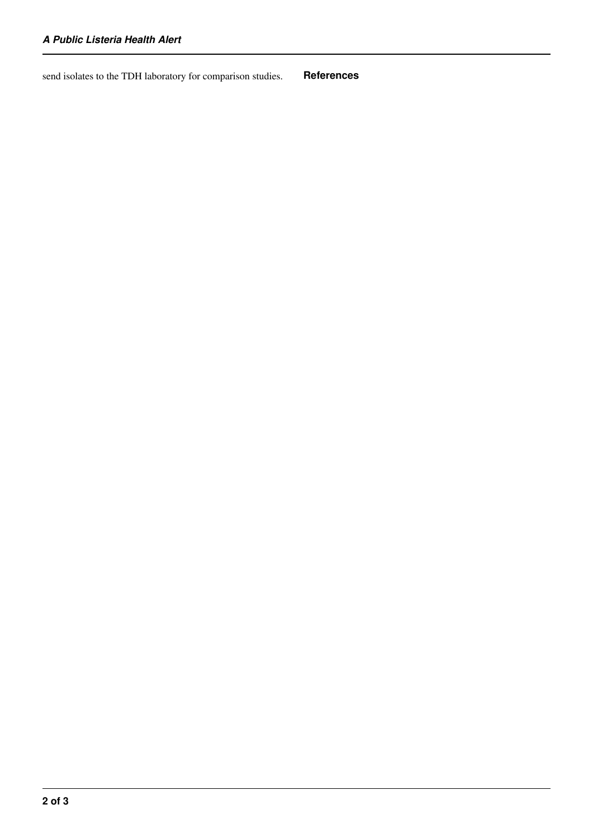send isolates to the TDH laboratory for comparison studies. **References**